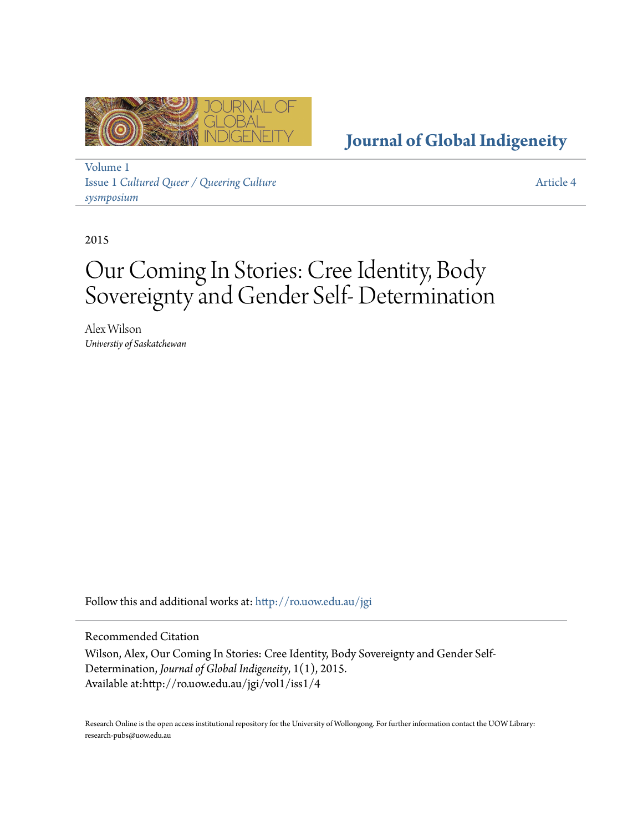

**[Journal of Global Indigeneity](http://ro.uow.edu.au/jgi?utm_source=ro.uow.edu.au%2Fjgi%2Fvol1%2Fiss1%2F4&utm_medium=PDF&utm_campaign=PDFCoverPages)**

[Volume 1](http://ro.uow.edu.au/jgi/vol1?utm_source=ro.uow.edu.au%2Fjgi%2Fvol1%2Fiss1%2F4&utm_medium=PDF&utm_campaign=PDFCoverPages) Issue 1 *[Cultured Queer / Queering Culture](http://ro.uow.edu.au/jgi/vol1/iss1?utm_source=ro.uow.edu.au%2Fjgi%2Fvol1%2Fiss1%2F4&utm_medium=PDF&utm_campaign=PDFCoverPages) [sysmposium](http://ro.uow.edu.au/jgi/vol1/iss1?utm_source=ro.uow.edu.au%2Fjgi%2Fvol1%2Fiss1%2F4&utm_medium=PDF&utm_campaign=PDFCoverPages)*

[Article 4](http://ro.uow.edu.au/jgi/vol1/iss1/4?utm_source=ro.uow.edu.au%2Fjgi%2Fvol1%2Fiss1%2F4&utm_medium=PDF&utm_campaign=PDFCoverPages)

2015

# Our Coming In Stories: Cree Identity, Body Sovereignty and Gender Self- Determination

Alex Wilson *Universtiy of Saskatchewan*

Follow this and additional works at: [http://ro.uow.edu.au/jgi](http://ro.uow.edu.au/jgi?utm_source=ro.uow.edu.au%2Fjgi%2Fvol1%2Fiss1%2F4&utm_medium=PDF&utm_campaign=PDFCoverPages)

Recommended Citation

Wilson, Alex, Our Coming In Stories: Cree Identity, Body Sovereignty and Gender Self-Determination, *Journal of Global Indigeneity*, 1(1), 2015. Available at:http://ro.uow.edu.au/jgi/vol1/iss1/4

Research Online is the open access institutional repository for the University of Wollongong. For further information contact the UOW Library: research-pubs@uow.edu.au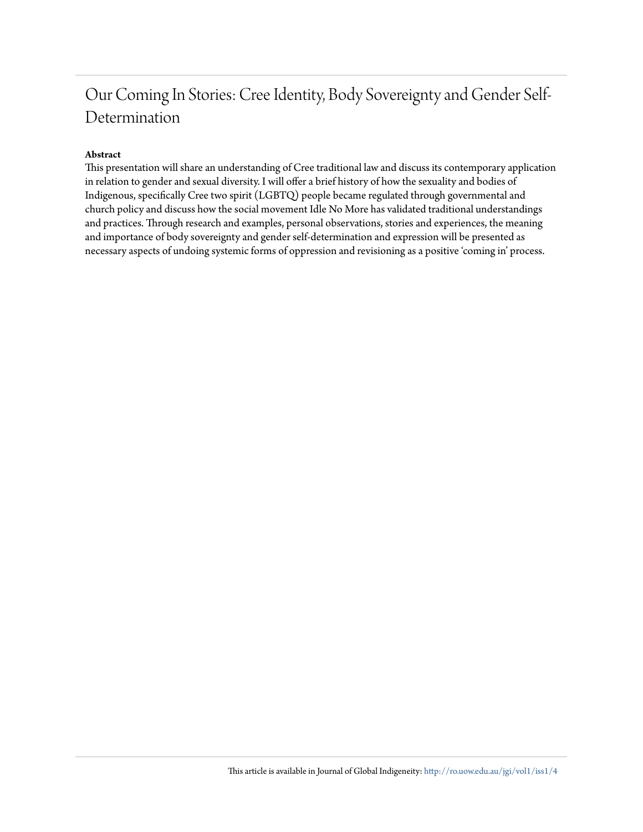# Our Coming In Stories: Cree Identity, Body Sovereignty and Gender Self-Determination

#### **Abstract**

This presentation will share an understanding of Cree traditional law and discuss its contemporary application in relation to gender and sexual diversity. I will offer a brief history of how the sexuality and bodies of Indigenous, specifically Cree two spirit (LGBTQ) people became regulated through governmental and church policy and discuss how the social movement Idle No More has validated traditional understandings and practices. Through research and examples, personal observations, stories and experiences, the meaning and importance of body sovereignty and gender self-determination and expression will be presented as necessary aspects of undoing systemic forms of oppression and revisioning as a positive 'coming in' process.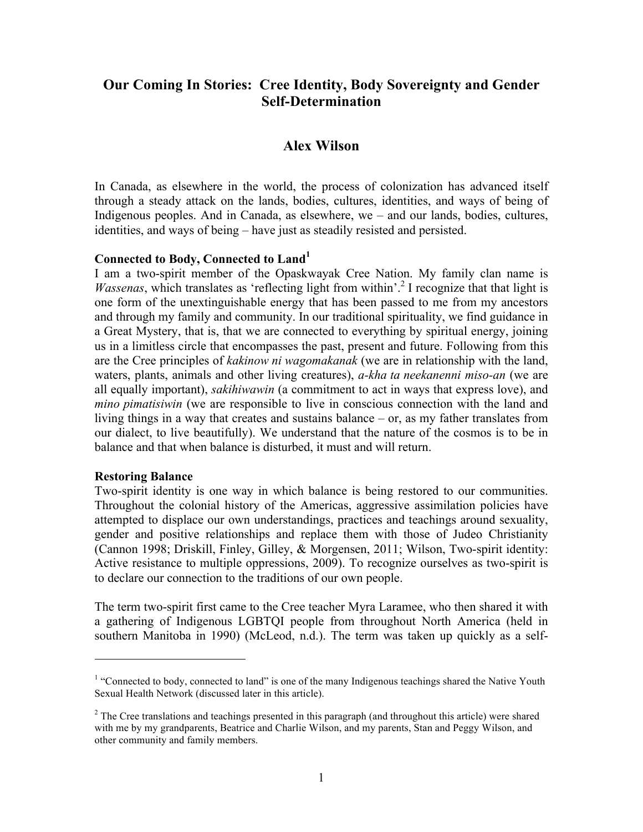# **Our Coming In Stories: Cree Identity, Body Sovereignty and Gender Self-Determination**

# **Alex Wilson**

In Canada, as elsewhere in the world, the process of colonization has advanced itself through a steady attack on the lands, bodies, cultures, identities, and ways of being of Indigenous peoples. And in Canada, as elsewhere, we – and our lands, bodies, cultures, identities, and ways of being – have just as steadily resisted and persisted.

#### **Connected to Body, Connected to Land<sup>1</sup>**

I am a two-spirit member of the Opaskwayak Cree Nation. My family clan name is *Wassenas*, which translates as 'reflecting light from within'.<sup>2</sup> I recognize that that light is one form of the unextinguishable energy that has been passed to me from my ancestors and through my family and community. In our traditional spirituality, we find guidance in a Great Mystery, that is, that we are connected to everything by spiritual energy, joining us in a limitless circle that encompasses the past, present and future. Following from this are the Cree principles of *kakinow ni wagomakanak* (we are in relationship with the land, waters, plants, animals and other living creatures), *a-kha ta neekanenni miso-an* (we are all equally important), *sakihiwawin* (a commitment to act in ways that express love), and *mino pimatisiwin* (we are responsible to live in conscious connection with the land and living things in a way that creates and sustains balance – or, as my father translates from our dialect, to live beautifully). We understand that the nature of the cosmos is to be in balance and that when balance is disturbed, it must and will return.

#### **Restoring Balance**

 

Two-spirit identity is one way in which balance is being restored to our communities. Throughout the colonial history of the Americas, aggressive assimilation policies have attempted to displace our own understandings, practices and teachings around sexuality, gender and positive relationships and replace them with those of Judeo Christianity (Cannon 1998; Driskill, Finley, Gilley, & Morgensen, 2011; Wilson, Two-spirit identity: Active resistance to multiple oppressions, 2009). To recognize ourselves as two-spirit is to declare our connection to the traditions of our own people.

The term two-spirit first came to the Cree teacher Myra Laramee, who then shared it with a gathering of Indigenous LGBTQI people from throughout North America (held in southern Manitoba in 1990) (McLeod, n.d.). The term was taken up quickly as a self-

<sup>&</sup>lt;sup>1</sup> "Connected to body, connected to land" is one of the many Indigenous teachings shared the Native Youth Sexual Health Network (discussed later in this article).

 $2^2$  The Cree translations and teachings presented in this paragraph (and throughout this article) were shared with me by my grandparents, Beatrice and Charlie Wilson, and my parents, Stan and Peggy Wilson, and other community and family members.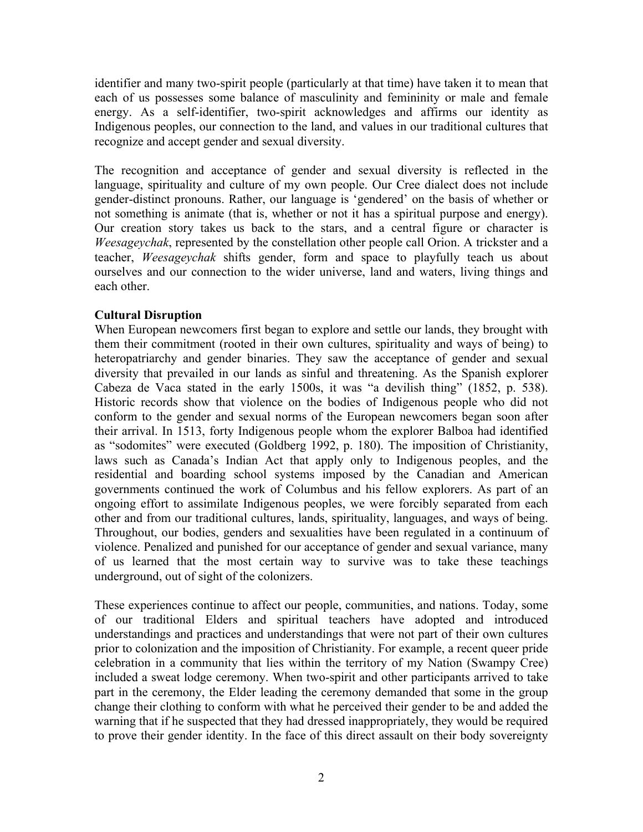identifier and many two-spirit people (particularly at that time) have taken it to mean that each of us possesses some balance of masculinity and femininity or male and female energy. As a self-identifier, two-spirit acknowledges and affirms our identity as Indigenous peoples, our connection to the land, and values in our traditional cultures that recognize and accept gender and sexual diversity.

The recognition and acceptance of gender and sexual diversity is reflected in the language, spirituality and culture of my own people. Our Cree dialect does not include gender-distinct pronouns. Rather, our language is 'gendered' on the basis of whether or not something is animate (that is, whether or not it has a spiritual purpose and energy). Our creation story takes us back to the stars, and a central figure or character is *Weesageychak*, represented by the constellation other people call Orion. A trickster and a teacher, *Weesageychak* shifts gender, form and space to playfully teach us about ourselves and our connection to the wider universe, land and waters, living things and each other.

# **Cultural Disruption**

When European newcomers first began to explore and settle our lands, they brought with them their commitment (rooted in their own cultures, spirituality and ways of being) to heteropatriarchy and gender binaries. They saw the acceptance of gender and sexual diversity that prevailed in our lands as sinful and threatening. As the Spanish explorer Cabeza de Vaca stated in the early 1500s, it was "a devilish thing" (1852, p. 538). Historic records show that violence on the bodies of Indigenous people who did not conform to the gender and sexual norms of the European newcomers began soon after their arrival. In 1513, forty Indigenous people whom the explorer Balboa had identified as "sodomites" were executed (Goldberg 1992, p. 180). The imposition of Christianity, laws such as Canada's Indian Act that apply only to Indigenous peoples, and the residential and boarding school systems imposed by the Canadian and American governments continued the work of Columbus and his fellow explorers. As part of an ongoing effort to assimilate Indigenous peoples, we were forcibly separated from each other and from our traditional cultures, lands, spirituality, languages, and ways of being. Throughout, our bodies, genders and sexualities have been regulated in a continuum of violence. Penalized and punished for our acceptance of gender and sexual variance, many of us learned that the most certain way to survive was to take these teachings underground, out of sight of the colonizers.

These experiences continue to affect our people, communities, and nations. Today, some of our traditional Elders and spiritual teachers have adopted and introduced understandings and practices and understandings that were not part of their own cultures prior to colonization and the imposition of Christianity. For example, a recent queer pride celebration in a community that lies within the territory of my Nation (Swampy Cree) included a sweat lodge ceremony. When two-spirit and other participants arrived to take part in the ceremony, the Elder leading the ceremony demanded that some in the group change their clothing to conform with what he perceived their gender to be and added the warning that if he suspected that they had dressed inappropriately, they would be required to prove their gender identity. In the face of this direct assault on their body sovereignty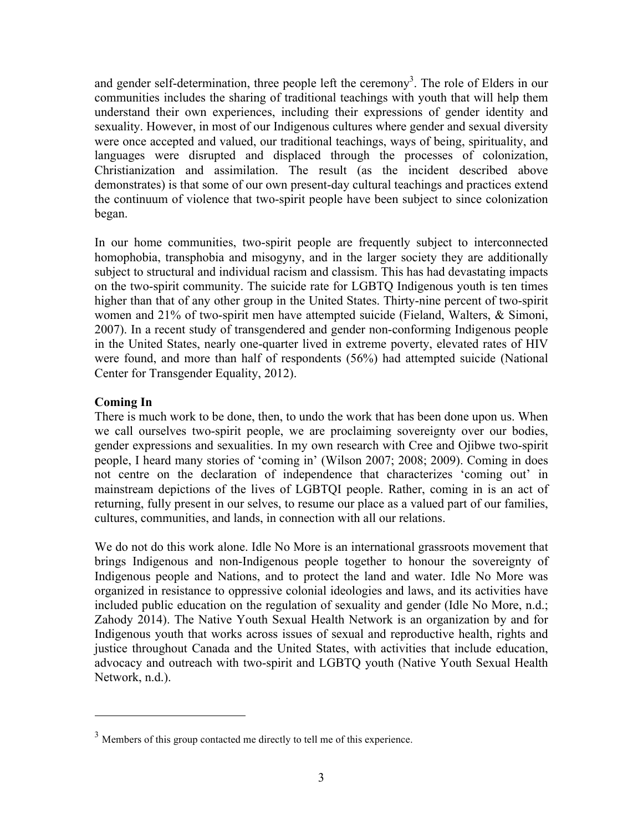and gender self-determination, three people left the ceremony<sup>3</sup>. The role of Elders in our communities includes the sharing of traditional teachings with youth that will help them understand their own experiences, including their expressions of gender identity and sexuality. However, in most of our Indigenous cultures where gender and sexual diversity were once accepted and valued, our traditional teachings, ways of being, spirituality, and languages were disrupted and displaced through the processes of colonization, Christianization and assimilation. The result (as the incident described above demonstrates) is that some of our own present-day cultural teachings and practices extend the continuum of violence that two-spirit people have been subject to since colonization began.

In our home communities, two-spirit people are frequently subject to interconnected homophobia, transphobia and misogyny, and in the larger society they are additionally subject to structural and individual racism and classism. This has had devastating impacts on the two-spirit community. The suicide rate for LGBTQ Indigenous youth is ten times higher than that of any other group in the United States. Thirty-nine percent of two-spirit women and 21% of two-spirit men have attempted suicide (Fieland, Walters, & Simoni, 2007). In a recent study of transgendered and gender non-conforming Indigenous people in the United States, nearly one-quarter lived in extreme poverty, elevated rates of HIV were found, and more than half of respondents (56%) had attempted suicide (National Center for Transgender Equality, 2012).

# **Coming In**

There is much work to be done, then, to undo the work that has been done upon us. When we call ourselves two-spirit people, we are proclaiming sovereignty over our bodies, gender expressions and sexualities. In my own research with Cree and Ojibwe two-spirit people, I heard many stories of 'coming in' (Wilson 2007; 2008; 2009). Coming in does not centre on the declaration of independence that characterizes 'coming out' in mainstream depictions of the lives of LGBTQI people. Rather, coming in is an act of returning, fully present in our selves, to resume our place as a valued part of our families, cultures, communities, and lands, in connection with all our relations.

We do not do this work alone. Idle No More is an international grassroots movement that brings Indigenous and non-Indigenous people together to honour the sovereignty of Indigenous people and Nations, and to protect the land and water. Idle No More was organized in resistance to oppressive colonial ideologies and laws, and its activities have included public education on the regulation of sexuality and gender (Idle No More, n.d.; Zahody 2014). The Native Youth Sexual Health Network is an organization by and for Indigenous youth that works across issues of sexual and reproductive health, rights and justice throughout Canada and the United States, with activities that include education, advocacy and outreach with two-spirit and LGBTQ youth (Native Youth Sexual Health Network, n.d.).

 

 $3$  Members of this group contacted me directly to tell me of this experience.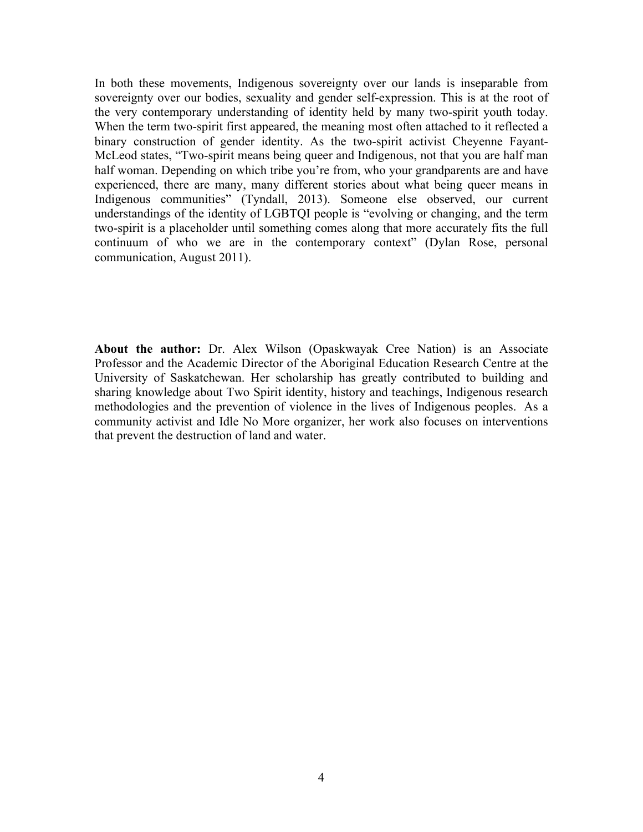In both these movements, Indigenous sovereignty over our lands is inseparable from sovereignty over our bodies, sexuality and gender self-expression. This is at the root of the very contemporary understanding of identity held by many two-spirit youth today. When the term two-spirit first appeared, the meaning most often attached to it reflected a binary construction of gender identity. As the two-spirit activist Cheyenne Fayant-McLeod states, "Two-spirit means being queer and Indigenous, not that you are half man half woman. Depending on which tribe you're from, who your grandparents are and have experienced, there are many, many different stories about what being queer means in Indigenous communities" (Tyndall, 2013). Someone else observed, our current understandings of the identity of LGBTQI people is "evolving or changing, and the term two-spirit is a placeholder until something comes along that more accurately fits the full continuum of who we are in the contemporary context" (Dylan Rose, personal communication, August 2011).

**About the author:** Dr. Alex Wilson (Opaskwayak Cree Nation) is an Associate Professor and the Academic Director of the Aboriginal Education Research Centre at the University of Saskatchewan. Her scholarship has greatly contributed to building and sharing knowledge about Two Spirit identity, history and teachings, Indigenous research methodologies and the prevention of violence in the lives of Indigenous peoples. As a community activist and Idle No More organizer, her work also focuses on interventions that prevent the destruction of land and water.